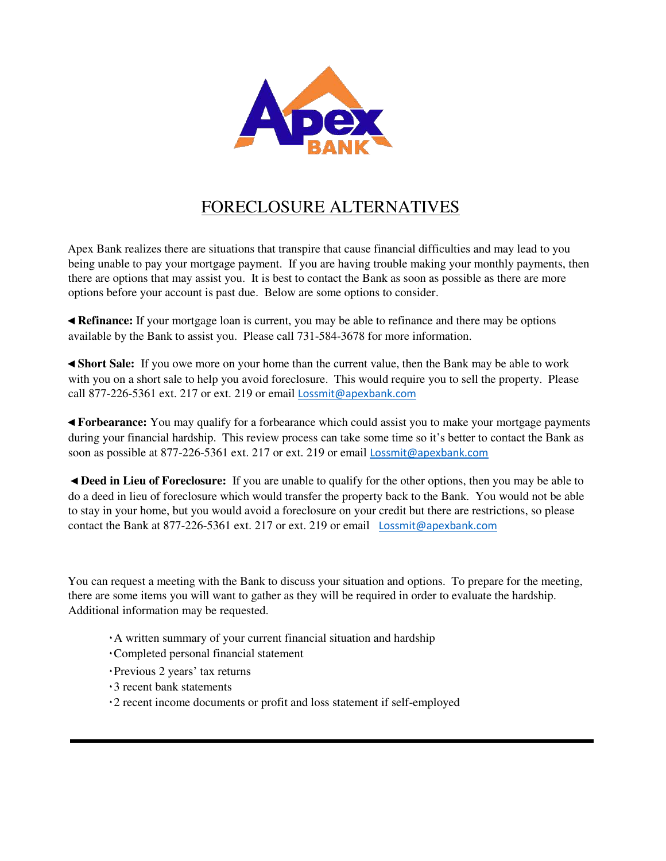

# FORECLOSURE ALTERNATIVES

Apex Bank realizes there are situations that transpire that cause financial difficulties and may lead to you being unable to pay your mortgage payment. If you are having trouble making your monthly payments, then there are options that may assist you. It is best to contact the Bank as soon as possible as there are more options before your account is past due. Below are some options to consider.

◄ **Refinance:** If your mortgage loan is current, you may be able to refinance and there may be options available by the Bank to assist you. Please call 731-584-3678 for more information.

◄ **Short Sale:** If you owe more on your home than the current value, then the Bank may be able to work with you on a short sale to help you avoid foreclosure. This would require you to sell the property. Please call 877-226-5361 ext. 217 or ext. 219 or email Lossmit@apexbank.com

◄ **Forbearance:** You may qualify for a forbearance which could assist you to make your mortgage payments during your financial hardship. This review process can take some time so it's better to contact the Bank as soon as possible at 877-226-5361 ext. 217 or ext. 219 or email Lossmit@apexbank.com

◄ **Deed in Lieu of Foreclosure:** If you are unable to qualify for the other options, then you may be able to do a deed in lieu of foreclosure which would transfer the property back to the Bank. You would not be able to stay in your home, but you would avoid a foreclosure on your credit but there are restrictions, so please contact the Bank at 877-226-5361 ext. 217 or ext. 219 or email Lossmit@apexbank.com

You can request a meeting with the Bank to discuss your situation and options. To prepare for the meeting, there are some items you will want to gather as they will be required in order to evaluate the hardship. Additional information may be requested.

- ٠A written summary of your current financial situation and hardship
- ٠Completed personal financial statement
- ٠Previous 2 years' tax returns
- ٠3 recent bank statements
- ٠2 recent income documents or profit and loss statement if self-employed